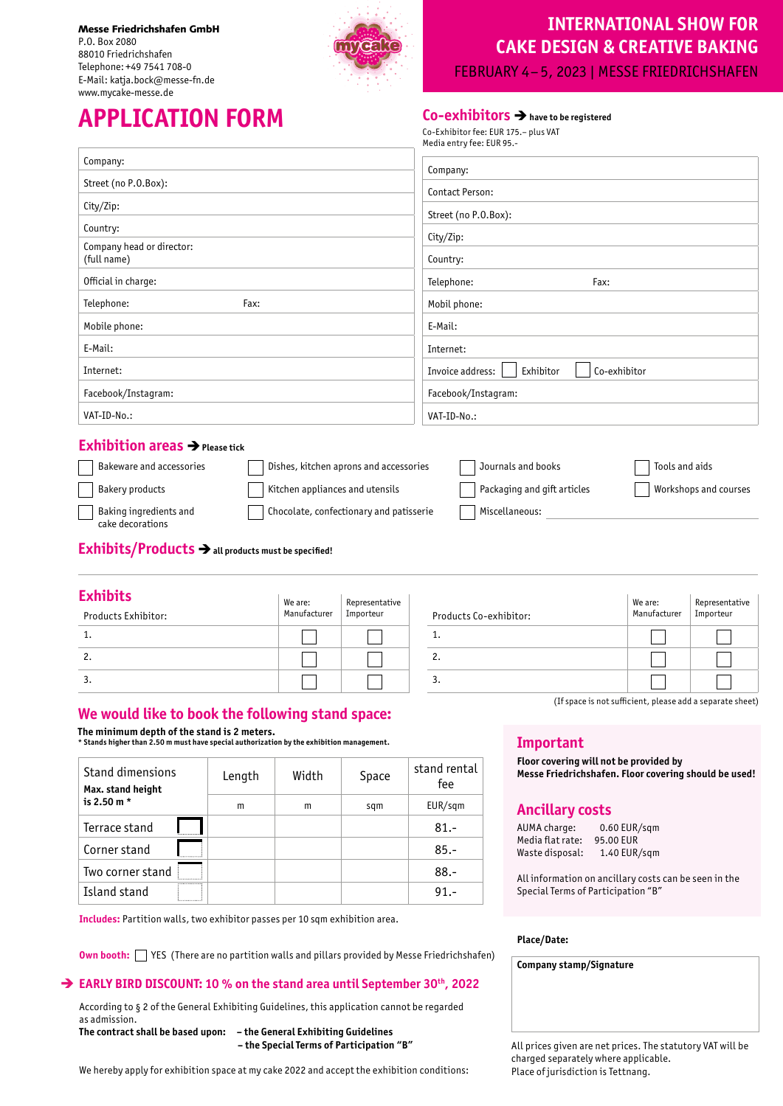Messe Friedrichshafen GmbH P.O. Box 2080 88010 Friedrichshafen Telephone: +49 7541 708-0 E-Mail: katja.bock@messe-fn.de www.mycake-messe.de



## **INTERNATIONAL SHOW FOR CAKE DESIGN & CREATIVE BAKING**

FEBRUARY 4–5, 2023 | MESSE FRIEDRICHSHAFEN

# **APPLICATION FORM Co-exhibitors** è**have to be registered**

|                                          | Media entry fee: EUR 95 .-                    |
|------------------------------------------|-----------------------------------------------|
| Company:                                 | Company:                                      |
| Street (no P.O.Box):                     | Contact Person:                               |
| City/Zip:                                | Street (no P.O.Box):                          |
| Country:                                 | City/Zip:                                     |
| Company head or director:<br>(full name) | Country:                                      |
| Official in charge:                      | Telephone:<br>Fax:                            |
| Telephone:<br>Fax:                       | Mobil phone:                                  |
| Mobile phone:                            | E-Mail:                                       |
| E-Mail:                                  | Internet:                                     |
| Internet:                                | Invoice address:<br>Co-exhibitor<br>Exhibitor |
| Facebook/Instagram:                      | Facebook/Instagram:                           |
| VAT-ID-No.:                              | VAT-ID-No.:                                   |
| - - - - - -                              |                                               |

Co-Exhibitor fee: EUR 175.– plus VAT

### **Exhibition areas**  $\rightarrow$  Please tick

| Bakeware and accessories                   | Dishes, kitchen aprons and accessories  | Journals and books          | Tools and aids        |
|--------------------------------------------|-----------------------------------------|-----------------------------|-----------------------|
| <b>Bakery products</b>                     | Kitchen appliances and utensils         | Packaging and gift articles | Workshops and courses |
| Baking ingredients and<br>cake decorations | Chocolate, confectionary and patisserie | Miscellaneous:              |                       |

**Exhibits/Products → all products must be specified!** 

| EXMIDITS<br>Products Exhibitor: | We are:<br>Manufacturer | Representative<br>Importeur | Products Co-exhibitor: | We are:<br>Manufacturer | Representative<br>Importeur |
|---------------------------------|-------------------------|-----------------------------|------------------------|-------------------------|-----------------------------|
|                                 |                         |                             | . .                    |                         |                             |
| 2.                              |                         |                             | Ζ.                     |                         |                             |
| 3.                              |                         |                             | . د                    |                         |                             |

## **We would like to book the following stand space:**

**The minimum depth of the stand is 2 meters. \* Stands higher than 2.50 m must have special authorization by the exhibition management.**

| Stand dimensions<br>Max. stand height<br>is 2.50 $m *$ | Length | Width | Space | stand rental<br>fee |
|--------------------------------------------------------|--------|-------|-------|---------------------|
|                                                        | m      | m     | sqm   | EUR/sqm             |
| Terrace stand                                          |        |       |       | $81 -$              |
| Corner stand                                           |        |       |       | $85 -$              |
| Two corner stand<br>                                   |        |       |       | $88 -$              |
| Island stand                                           |        |       |       | $91 -$              |

**Includes:** Partition walls, two exhibitor passes per 10 sqm exhibition area.

**Own booth:** YES (There are no partition walls and pillars provided by Messe Friedrichshafen)

## → **EARLY BIRD DISCOUNT: 10 % on the stand area until September 30<sup>th</sup>, 2022**

According to § 2 of the General Exhibiting Guidelines, this application cannot be regarded as admission. **The contract shall be based upon: – the General Exhibiting Guidelines**

 **– the Special Terms of Participation "B"**

We hereby apply for exhibition space at my cake 2022 and accept the exhibition conditions:

## **Important**

**Floor covering will not be provided by Messe Friedrichshafen. Floor covering should be used!**

(If space is not sufficient, please add a separate sheet)

## **Ancillary costs**

AUMA charge: 0.60 EUR/sqm Media flat rate: 95.00 EUR Waste disposal: 1.40 EUR/sqm

All information on ancillary costs can be seen in the Special Terms of Participation "B"

### **Place/Date:**

**Company stamp/Signature**

All prices given are net prices. The statutory VAT will be charged separately where applicable. Place of jurisdiction is Tettnang.